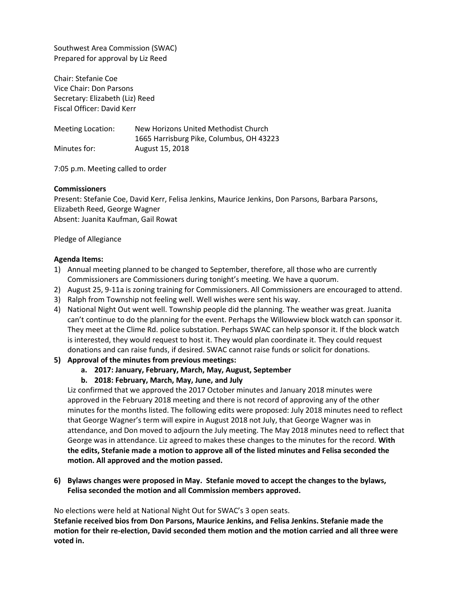Southwest Area Commission (SWAC) Prepared for approval by Liz Reed

Chair: Stefanie Coe Vice Chair: Don Parsons Secretary: Elizabeth (Liz) Reed Fiscal Officer: David Kerr

Meeting Location: New Horizons United Methodist Church 1665 Harrisburg Pike, Columbus, OH 43223 Minutes for: August 15, 2018

7:05 p.m. Meeting called to order

### **Commissioners**

Present: Stefanie Coe, David Kerr, Felisa Jenkins, Maurice Jenkins, Don Parsons, Barbara Parsons, Elizabeth Reed, George Wagner Absent: Juanita Kaufman, Gail Rowat

Pledge of Allegiance

### **Agenda Items:**

- 1) Annual meeting planned to be changed to September, therefore, all those who are currently Commissioners are Commissioners during tonight's meeting. We have a quorum.
- 2) August 25, 9-11a is zoning training for Commissioners. All Commissioners are encouraged to attend.
- 3) Ralph from Township not feeling well. Well wishes were sent his way.
- 4) National Night Out went well. Township people did the planning. The weather was great. Juanita can't continue to do the planning for the event. Perhaps the Willowview block watch can sponsor it. They meet at the Clime Rd. police substation. Perhaps SWAC can help sponsor it. If the block watch is interested, they would request to host it. They would plan coordinate it. They could request donations and can raise funds, if desired. SWAC cannot raise funds or solicit for donations.
- **5) Approval of the minutes from previous meetings:** 
	- **a. 2017: January, February, March, May, August, September**
	- **b. 2018: February, March, May, June, and July**

Liz confirmed that we approved the 2017 October minutes and January 2018 minutes were approved in the February 2018 meeting and there is not record of approving any of the other minutes for the months listed. The following edits were proposed: July 2018 minutes need to reflect that George Wagner's term will expire in August 2018 not July, that George Wagner was in attendance, and Don moved to adjourn the July meeting. The May 2018 minutes need to reflect that George was in attendance. Liz agreed to makes these changes to the minutes for the record. **With the edits, Stefanie made a motion to approve all of the listed minutes and Felisa seconded the motion. All approved and the motion passed.**

**6) Bylaws changes were proposed in May. Stefanie moved to accept the changes to the bylaws, Felisa seconded the motion and all Commission members approved.** 

No elections were held at National Night Out for SWAC's 3 open seats.

**Stefanie received bios from Don Parsons, Maurice Jenkins, and Felisa Jenkins. Stefanie made the motion for their re-election, David seconded them motion and the motion carried and all three were voted in.**